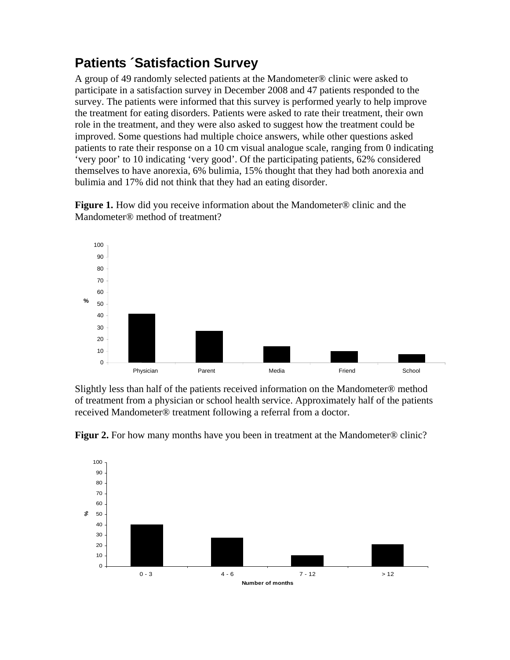## **Patients ´Satisfaction Survey**

A group of 49 randomly selected patients at the Mandometer® clinic were asked to participate in a satisfaction survey in December 2008 and 47 patients responded to the survey. The patients were informed that this survey is performed yearly to help improve the treatment for eating disorders. Patients were asked to rate their treatment, their own role in the treatment, and they were also asked to suggest how the treatment could be improved. Some questions had multiple choice answers, while other questions asked patients to rate their response on a 10 cm visual analogue scale, ranging from 0 indicating 'very poor' to 10 indicating 'very good'. Of the participating patients, 62% considered themselves to have anorexia, 6% bulimia, 15% thought that they had both anorexia and bulimia and 17% did not think that they had an eating disorder.

**Figure 1.** How did you receive information about the Mandometer® clinic and the Mandometer® method of treatment?



Slightly less than half of the patients received information on the Mandometer® method of treatment from a physician or school health service. Approximately half of the patients received Mandometer® treatment following a referral from a doctor.



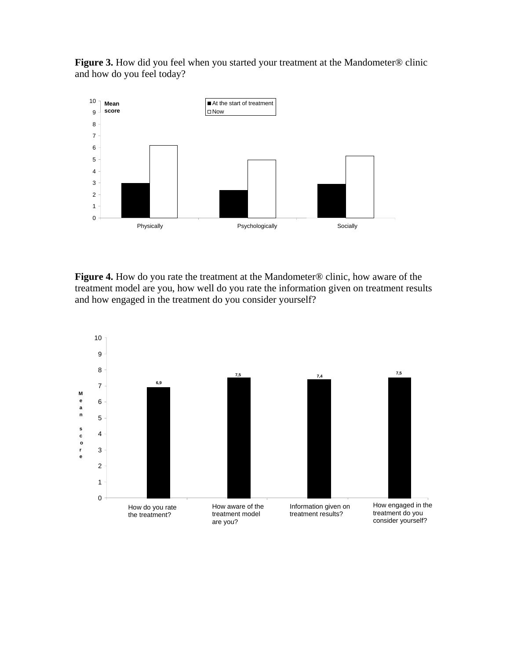Figure 3. How did you feel when you started your treatment at the Mandometer® clinic and how do you feel today?



**Figure 4.** How do you rate the treatment at the Mandometer® clinic, how aware of the treatment model are you, how well do you rate the information given on treatment results and how engaged in the treatment do you consider yourself?

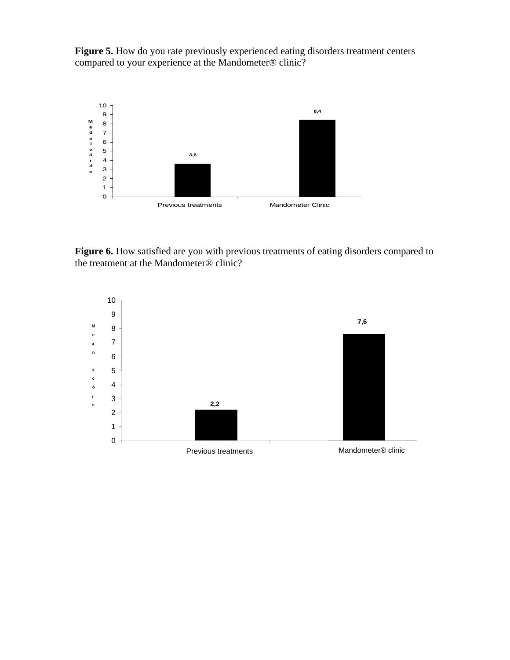Figure 5. How do you rate previously experienced eating disorders treatment centers compared to your experience at the Mandometer® clinic?



Figure 6. How satisfied are you with previous treatments of eating disorders compared to the treatment at the Mandometer® clinic?

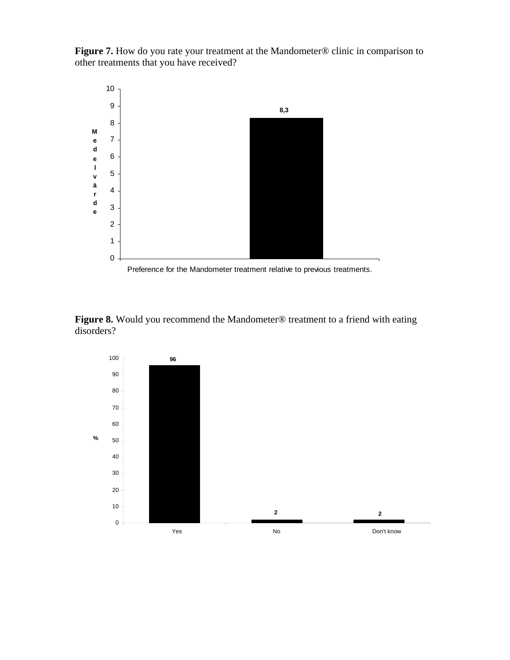**Figure 7.** How do you rate your treatment at the Mandometer® clinic in comparison to other treatments that you have received?



**Figure 8.** Would you recommend the Mandometer® treatment to a friend with eating disorders?